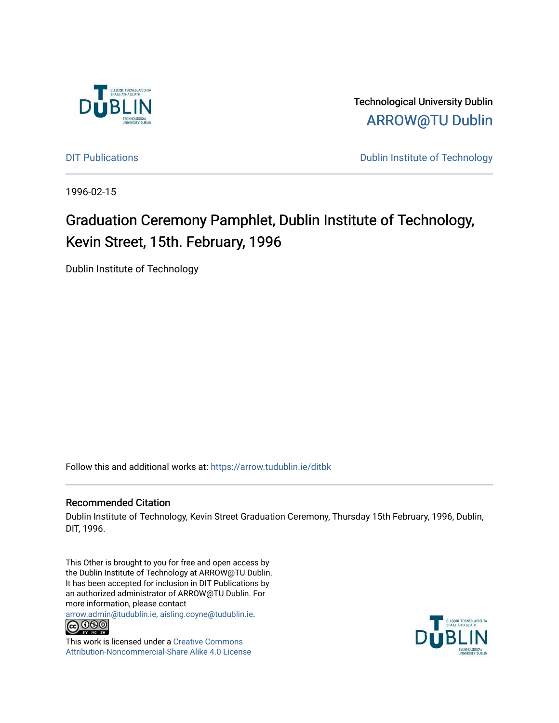

Technological University Dublin [ARROW@TU Dublin](https://arrow.tudublin.ie/) 

[DIT Publications](https://arrow.tudublin.ie/ditbk) **DIT Publications DIT Publications DIT Publications** 

1996-02-15

# Graduation Ceremony Pamphlet, Dublin Institute of Technology, Kevin Street, 15th. February, 1996

Dublin Institute of Technology

Follow this and additional works at: [https://arrow.tudublin.ie/ditbk](https://arrow.tudublin.ie/ditbk?utm_source=arrow.tudublin.ie%2Fditbk%2F2&utm_medium=PDF&utm_campaign=PDFCoverPages) 

### Recommended Citation

Dublin Institute of Technology, Kevin Street Graduation Ceremony, Thursday 15th February, 1996, Dublin, DIT, 1996.

This Other is brought to you for free and open access by the Dublin Institute of Technology at ARROW@TU Dublin. It has been accepted for inclusion in DIT Publications by an authorized administrator of ARROW@TU Dublin. For more information, please contact

[arrow.admin@tudublin.ie, aisling.coyne@tudublin.ie](mailto:arrow.admin@tudublin.ie,%20aisling.coyne@tudublin.ie).<br>COOO



This work is licensed under a [Creative Commons](http://creativecommons.org/licenses/by-nc-sa/4.0/) [Attribution-Noncommercial-Share Alike 4.0 License](http://creativecommons.org/licenses/by-nc-sa/4.0/)

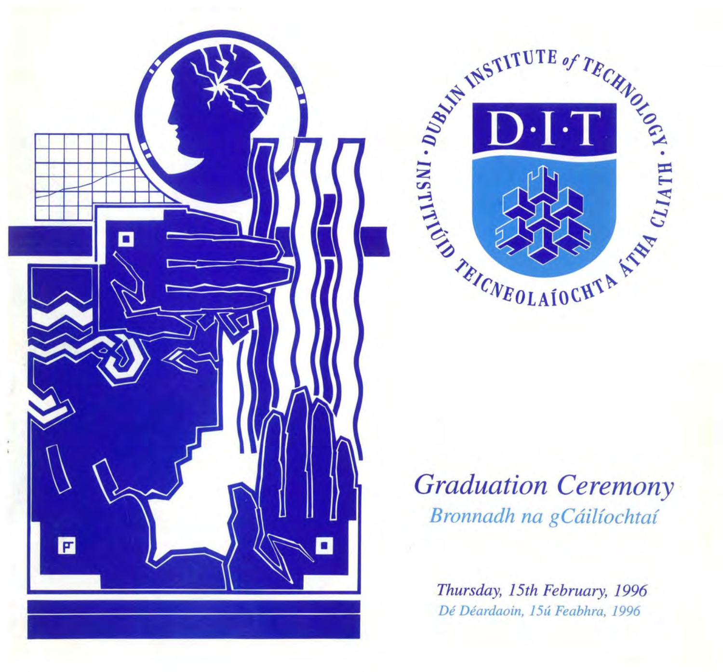



# *Graduation Ceremony Bronnadh na gCailiochta{*

*Thursday, 15th February, 1996 De Deardaoin, 15u Feabhra, 1996*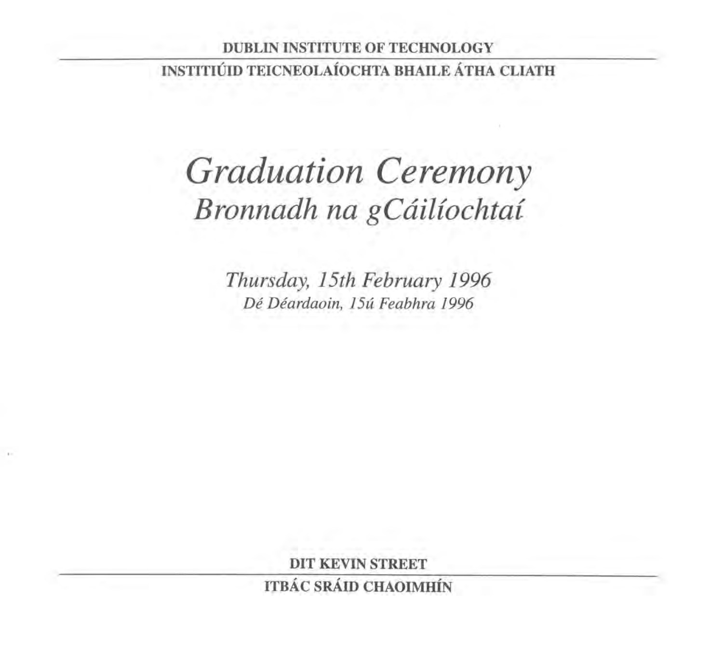# DUBLIN INSTITUTE OF TECHNOLOGY INSTITIÚID TEICNEOLAÍOCHTA BHAILE ÁTHA CLIATH

# *Graduation Ceremony Bronnadh na gCailfochtai*

*Thursday, 15th February 1996 De Deardaoin, 15u Feabhra 1996* 

DIT KEVIN STREET

ITBÁC SRÁID CHAOIMHÍN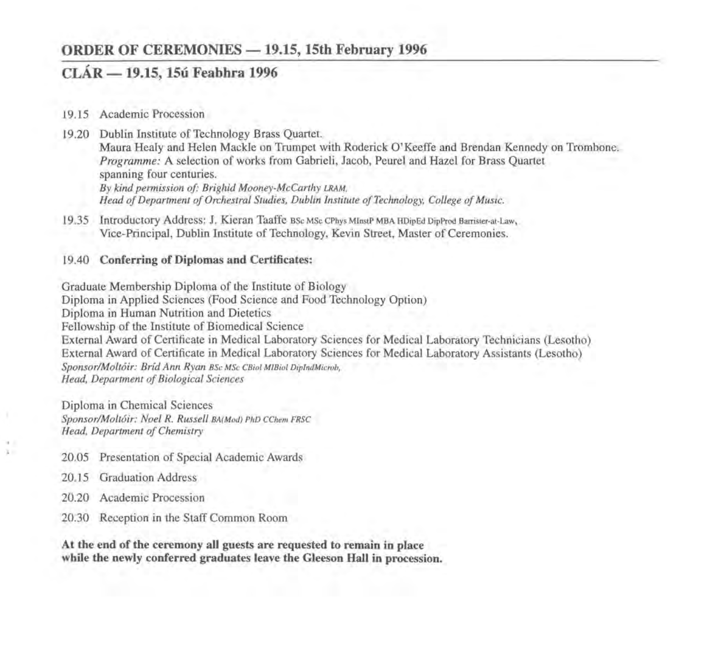## **ORDER OF CEREMONIES - 19.15, 15th February 1996**

# **CLAR - 19.15, 15u Feabhra 1996**

- 19.15 Academic Procession
- 19.20 Dublin Institute of Technology Brass Quartet. Maura Healy and Helen Mackie on Trumpet with Roderick O'Keeffe and Brendan Kennedy on Trombone. *Programme:* A selection of works from Gabrieli, Jacob, Peurel and Hazel for Brass Quartet spanning four centuries. By kind permission of: Brighid Mooney-McCarthy LRAM. *Head of Department of Orchestral Studies, Dublin Institute of Technology, College of Music.*
- 19.35 Introductory Address: J. Kieran Taaffe BSc MSc CPhys MlnstP MBA HDipEd DipProd Barrister-at-Law, Vice-Principal, Dublin Institute of Technology, Kevin Street, Master of Ceremonies.

#### 19.40 **Conferring of Diplomas and Certificates:**

Graduate Membership Diploma of the Institute of Biology Diploma in Applied Sciences (Food Science and Food Technology Option) Diploma in Human Nutrition and Dietetics Fellowship of the Institute of Biomedical Science External Award of Certificate in Medical Laboratory Sciences for Medical Laboratory Technicians (Lesotho) External Award of Certificate in Medical Laboratory Sciences for Medical Laboratory Assistants (Lesotho) *Sponsor/Molt6ir: Brid Ann Ryan* BSc MSc CBiol M!Biol DiplndMicrob, *Head, Department of Biological Sciences* 

Diploma in Chemical Sciences *Sponsor!Molt6ir: Noel R. Russell* BA(Mod) PhD CChem FRSC *Head, Department of Chemistry* 

- 20.05 Presentation of Special Academic Awards
- 20.15 Graduation Address
- 20.20 Academic Procession
- 20.30 Reception in the Staff Common Room

**At the end of the ceremony all guests are requested to remain in place while the newly conferred graduates leave the Gleeson Hall in procession.**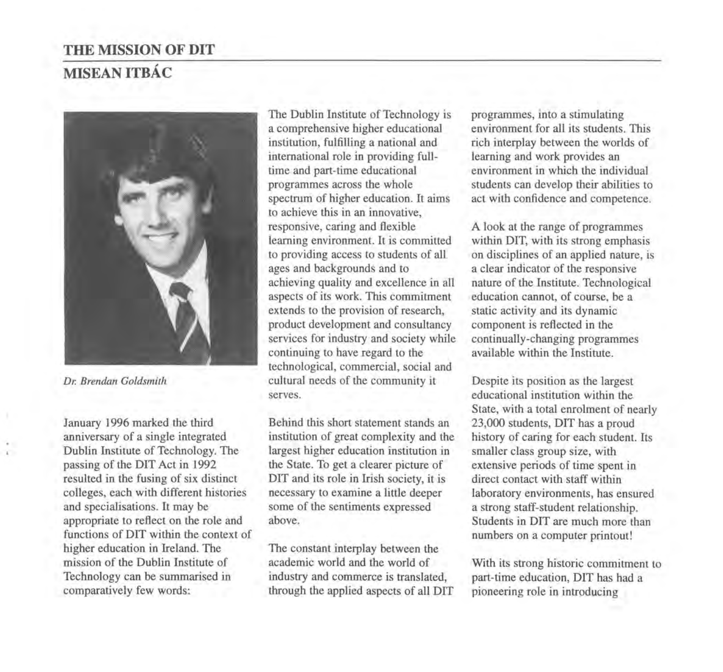# **THE MISSION OF DIT MISEAN ITBAC**



*Dr. Brendan Goldsmith* 

January 1996 marked the third anniversary of a single integrated Dublin Institute of Technology. The passing of the DIT Act in 1992 resulted in the fusing of six distinct colleges, each with different histories and specialisations. It may be appropriate to reflect on the role and functions of DIT within the context of higher education in Ireland. The mission of the Dublin Institute of Technology can be summarised in comparatively few words:

The Dublin Institute of Technology is a comprehensive higher educational institution, fulfilling a national and international role in providing fulltime and part-time educational programmes across the whole spectrum of higher education. It aims to achieve this in an innovative, responsive, caring and flexible learning environment. It is committed to providing access to students of all ages and backgrounds and to achieving quality and excellence in all aspects of its work. This commitment extends to the provision of research, product development and consultancy services for industry and society while continuing to have regard to the technological, commercial, social and cultural needs of the community it serves.

Behind this short statement stands an institution of great complexity and the largest higher education institution in the State. To get a clearer picture of DIT and its role in Irish society, it is necessary to examine a little deeper some of the sentiments expressed above.

The constant interplay between the academic world and the world of industry and commerce is translated, through the applied aspects of all DIT programmes, into a stimulating environment for all its students. This rich interplay between the worlds of learning and work provides an environment in which the individual students can develop their abilities to act with confidence and competence.

A look at the range of programmes within DIT, with its strong emphasis on disciplines of an applied nature, is a clear indicator of the responsive nature of the Institute. Technological education cannot, of course, be a static activity and its dynamic component is reflected in the continually-changing programmes available within the Institute.

Despite its position as the largest educational institution within the State, with a total enrolment of nearly 23,000 students, DIT has a proud history of caring for each student. Its smaller class group size, with extensive periods of time spent in direct contact with staff within laboratory environments, has ensured a strong staff-student relationship. Students in DIT are much more than numbers on a computer printout!

With its strong historic commitment to part-time education, DIT has had a pioneering role in introducing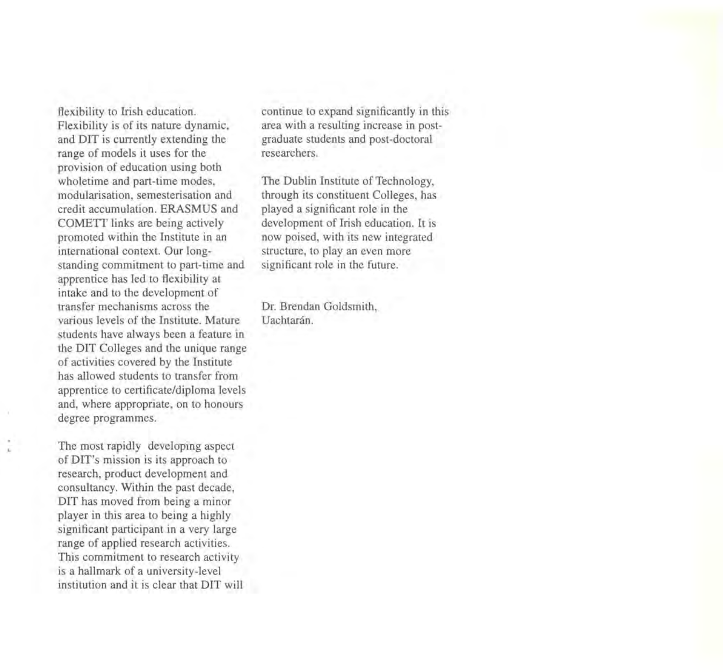flexibility to Irish education. Flexibility is of its nature dynamic, and DIT is currently extending the range of models it uses for the provision of education using both wholetime and part-time modes, modularisation, semesterisation and credit accumulation. ERASMUS and COMETT links are being actively promoted within the Institute in an international context. Our longstanding commitment to part-time and apprentice has led to flexibility at intake and to the development of transfer mechanisms across the various levels of the Institute. Mature students have always been a feature in the DIT Colleges and the unique range of activities covered by the Institute has allowed students to transfer from apprentice to certificate/diploma levels and, where appropriate, on to honours degree programmes.

The most rapidly developing aspect of DIT's mission is its approach to research, product development and consultancy. Within the past decade, DIT has moved from being a minor player in this area to being a highly significant participant in a very large range of applied research activities. This commitment to research activity is a hallmark of a university-level institution and it is clear that DIT will continue to expand significantly in this area with a resulting increase in postgraduate students and post-doctoral researchers.

The Dublin Institute of Technology, through its constituent Colleges, has played a significant role in the development of Irish education. It is now poised, with its new integrated structure, to play an even more significant role in the future.

Dr. Brendan Goldsmith, Uachtarán.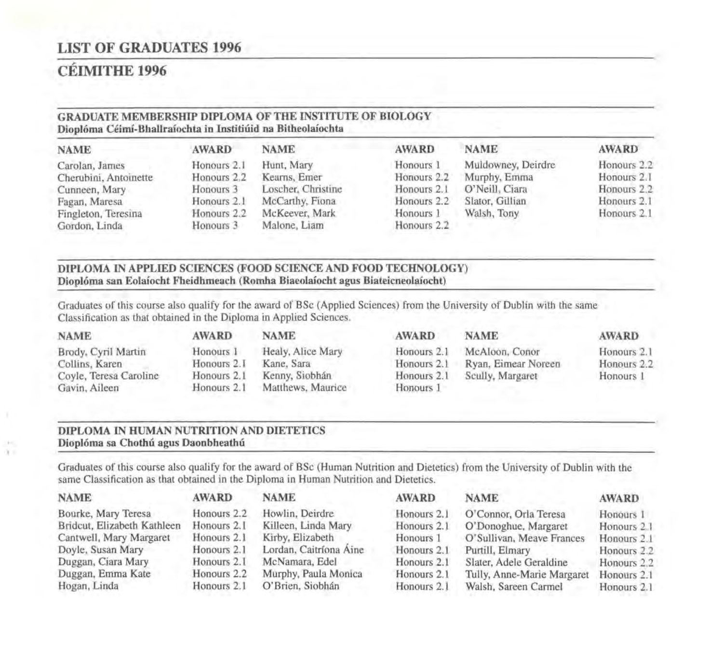# **LIST OF GRADUATES 1996**

# **CEIMITHE 1996**

#### **GRADUATE MEMBERSHIP DIPLOMA OF THE INSTITUTE OF BIOLOGY Dioploma Ceimf-Bhallraiochta in Institiuid na Bitheolaiochta**

| <b>NAME</b>           | <b>AWARD</b> | <b>NAME</b>        | <b>AWARD</b> | <b>NAME</b>        | <b>AWARD</b> |
|-----------------------|--------------|--------------------|--------------|--------------------|--------------|
| Carolan, James        | Honours 2.1  | Hunt, Mary         | Honours 1    | Muldowney, Deirdre | Honours 2.2  |
| Cherubini, Antoinette | Honours 2.2  | Kearns, Emer       | Honours 2.2  | Murphy, Emma       | Honours 2.1  |
| Cunneen, Mary         | Honours 3    | Loscher, Christine | Honours 2.1  | O'Neill, Ciara     | Honours 2.2  |
| Fagan, Maresa         | Honours 2.1  | McCarthy, Fiona    | Honours 2.2  | Slator, Gillian    | Honours 2.1  |
| Fingleton, Teresina   | Honours 2.2  | McKeever, Mark     | Honours 1    | Walsh, Tony        | Honours 2.1  |
| Gordon, Linda         | Honours 3    | Malone, Liam       | Honours 2.2  |                    |              |

#### **DIPLOMA IN APPLIED SCIENCES (FOOD SCIENCE AND FOOD TECHNOLOGY) Dioploma san Eolaiocht Fheidhmeach (Romha Biaeolaiocht agus Biateicneolaiocht)**

Graduates of this course also qualify for the award of BSc (Applied Sciences) from the University of Dublin with the same Classification as that obtained in the Diploma in Applied Sciences.

Brody, Cyril Martin Honours 1 Healy, Alice Mary<br>Collins, Karen Honours 2.1 Kane, Sara Collins, Karen Honours 2.1 Kane, Sara<br>Coyle, Teresa Caroline Honours 2.1 Kenny, Siobhán Coyle, Teresa Caroline Honours 2.1

# **NAME AWARD NAME**

Gavin, Aileen Honours 2.1 Matthews, Maurice

#### **AWARD NAME**

Honours 2.1 McAloon, Conor Honours 2.1 Ryan, Eimear Noreen Honours 2.1 Scully, Margaret Honours 1

#### **AWARD**

Honours 2.1 Honours 2.2 Honours 1

#### **DIPLOMA IN HUMAN NUTRITION AND DIETETICS**  Dioplóma sa Chothú agus Daonbheathú

Graduates of this course also qualify for the award of BSc (Human Nutrition and Dietetics) from the University of Dublin with the same Classification as that obtained in the Diploma in Human Nutrition and Dietetics.

| <b>NAME</b>                 | <b>AWARD</b> | <b>NAME</b>            | <b>AWARD</b> | <b>NAME</b>                | <b>AWARD</b> |
|-----------------------------|--------------|------------------------|--------------|----------------------------|--------------|
| Bourke, Mary Teresa         | Honours 2.2  | Howlin, Deirdre        | Honours 2.1  | O'Connor, Orla Teresa      | Honours 1    |
| Bridcut, Elizabeth Kathleen | Honours 2.1  | Killeen, Linda Mary    | Honours 2.1  | O'Donoghue, Margaret       | Honours 2.1  |
| Cantwell, Mary Margaret     | Honours 2.1  | Kirby, Elizabeth       | Honours 1    | O'Sullivan, Meave Frances  | Honours 2.1  |
| Doyle, Susan Mary           | Honours 2.1  | Lordan, Caitríona Aine | Honours 2.1  | Purtill, Elmary            | Honours 2.2  |
| Duggan, Ciara Mary          | Honours 2.1  | McNamara, Edel         | Honours 2.1  | Slater, Adele Geraldine    | Honours 2.2  |
| Duggan, Emma Kate           | Honours 2.2  | Murphy, Paula Monica   | Honours 2.1  | Tully, Anne-Marie Margaret | Honours 2.1  |
| Hogan, Linda                | Honours 2.1  | O'Brien, Siobhán       | Honours 2.1  | Walsh, Sareen Carmel       | Honours 2.1  |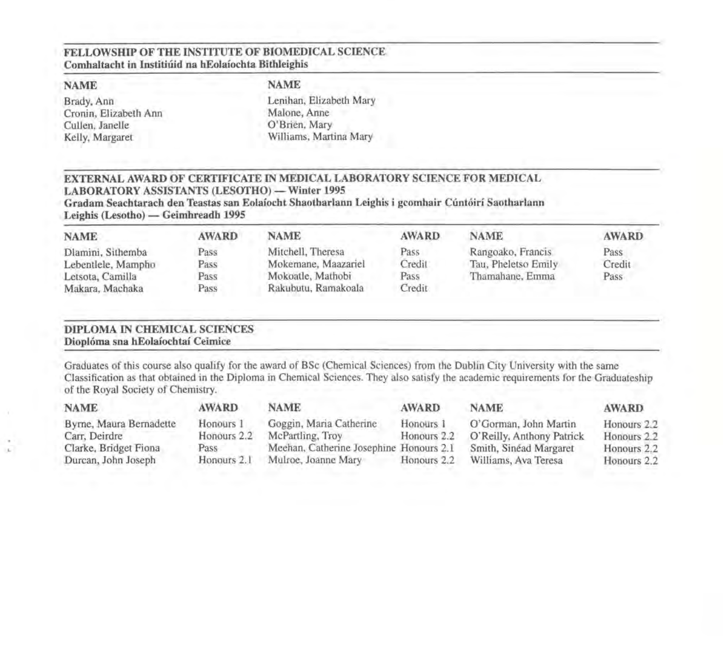#### FELLOWSHIP OF THE INSTITUTE OF BIOMEDICAL SCIENCE Comhaltacht in Institiúid na hEolaíochta Bithleighis

#### NAME

Brady, Ann Cronin, Elizabeth Ann Cullen, Janelle Kelly, Margaret

#### NAME

Lenihan, Elizabeth Mary Malone, Anne O'Brien, Mary Williams, Martina Mary

#### EXTERNAL AWARD OF CERTIFICATE IN MEDICAL LABORATORY SCIENCE FOR MEDICAL LABORATORY ASSISTANTS (LESOTHO) - Winter 1995

Gradam Seachtarach den Teastas san Eolaiocht Shaotharlann Leighis i gcomhair Cuntoiri Saotharlann Leighis (Lesotho) — Geimhreadh 1995

| <b>NAME</b>        | <b>AWARD</b> | <b>NAME</b>         | <b>AWARD</b> | <b>NAME</b>         | <b>AWARD</b> |
|--------------------|--------------|---------------------|--------------|---------------------|--------------|
| Dlamini, Sithemba  | Pass         | Mitchell, Theresa   | Pass         | Rangoako, Francis   | Pass         |
| Lebentlele, Mampho | Pass         | Mokemane, Maazariel | Credit       | Tau, Pheletso Emily | Credit       |
| Letsota, Camilla   | Pass         | Mokoatle, Mathobi   | Pass         | Thamahane, Emma     | Pass         |
| Makara, Machaka    | Pass         | Rakubutu, Ramakoala | Credit       |                     |              |

#### DIPLOMA IN CHEMICAL SCIENCES Dioploma sna hEolaiochtai Ceimice

Graduates of this course also qualify for the award of BSc (Chemical Sciences) from the Dublin City University with the same Classification as that obtained in the Diploma in Chemical Sciences. They also satisfy the academic requirements for the Graduateship of the Royal Society of Chemistry.

| <b>NAME</b>             | <b>AWARD</b> | <b>NAME</b>                             | <b>AWARD</b> | <b>NAME</b>               | <b>AWARD</b> |
|-------------------------|--------------|-----------------------------------------|--------------|---------------------------|--------------|
| Byrne, Maura Bernadette | Honours 1    | Goggin, Maria Catherine                 | Honours 1    | O'Gorman, John Martin     | Honours 2.2  |
| Carr, Deirdre           | Honours 2.2  | McPartling, Troy                        | Honours 2.2  | O'Reilly, Anthony Patrick | Honours 2.2  |
| Clarke, Bridget Fiona   | Pass         | Meehan, Catherine Josephine Honours 2.1 |              | Smith, Sinéad Margaret    | Honours 2.2  |
| Durcan, John Joseph     | Honours 2.1  | Mulroe, Joanne Mary                     | Honours 2.2  | Williams, Ava Teresa      | Honours 2.2  |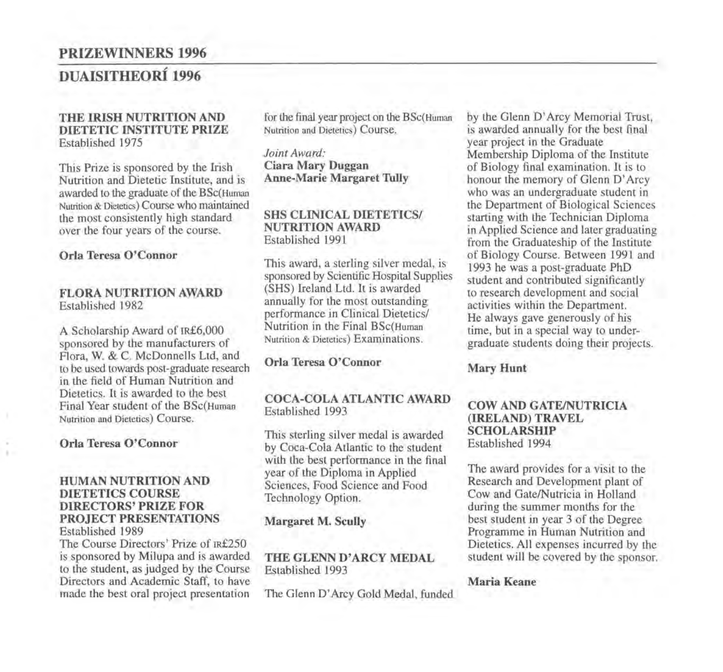### PRIZEWINNERS 1996

# DUAISITHEORÍ 1996

#### THE IRISH NUTRITION AND DIETETIC INSTITUTE PRIZE Established 1975

This Prize is sponsored by the Irish Nutrition and Dietetic Institute, and is awarded to the graduate of the BSc(Human Nutrition & Dietetics) Course who maintained the most consistently high standard over the four years of the course.

#### Orla Teresa O'Connor

#### FLORA NUTRITION AWARD Established 1982

A Scholarship Award of IR£6,000 sponsored by the manufacturers of Flora, W. & C. McDonnells Ltd, and to be used towards post-graduate research in the field of Human Nutrition and Dietetics. It is awarded to the best Final Year student of the BSc(Human Nutrition and Dietetics) Course.

#### Orla Teresa O'Connor

#### HUMAN NUTRITION AND DIETETICS COURSE DIRECTORS' PRIZE FOR PROJECT PRESENTATIONS Established 1989

The Course Directors' Prize of IR£250 is sponsored by Milupa and is awarded to the student, as judged by the Course Directors and Academic Staff, to have made the best oral project presentation

for the final year project on the BSc(Human Nutrition and Dietetics) Course.

*Joint Award:*  Ciara Mary Duggan Anne-Marie Margaret Tully

#### SHS CLINICAL DIETETICS/ NUTRITION AWARD Established 1991

This award, a sterling silver medal, is sponsored by Scientific Hospital Supplies (SHS) Ireland Ltd. It is awarded annually for the most outstanding performance in Clinical Dietetics/ Nutrition in the Final BSc(Human Nutrition & Dietetics) Examinations.

#### Orla Teresa O'Connor

#### COCA-COLA ATLANTIC AWARD Established 1993

This sterling silver medal is awarded by Coca-Cola Atlantic to the student with the best performance in the final year of the Diploma in Applied Sciences, Food Science and Food Technology Option.

#### Margaret M. Scully

#### THE GLENN D'ARCY MEDAL Established 1993

The Glenn D' Arcy Gold Medal, funded

by the Glenn D' Arcy Memorial Trust, is awarded annually for the best final year project in the Graduate Membership Diploma of the Institute of Biology final examination. It is to honour the memory of Glenn D' Arcy who was an undergraduate student in the Department of Biological Sciences starting with the Technician Diploma in Applied Science and later graduating from the Graduateship of the Institute of Biology Course. Between 1991 and 1993 he was a post-graduate PhD student and contributed significantly to research development and social activities within the Department. He always gave generously of his time, but in a special way to undergraduate students doing their projects.

#### Mary Hunt

#### COW AND GATE/NUTRICIA (IRELAND) TRAVEL SCHOLARSHIP Established 1994

The award provides for a visit to the Research and Development plant of Cow and Gate/Nutricia in Holland during the summer months for the best student in year 3 of the Degree Programme in Human Nutrition and Dietetics. All expenses incurred by the student will be covered by the sponsor.

#### Maria Keane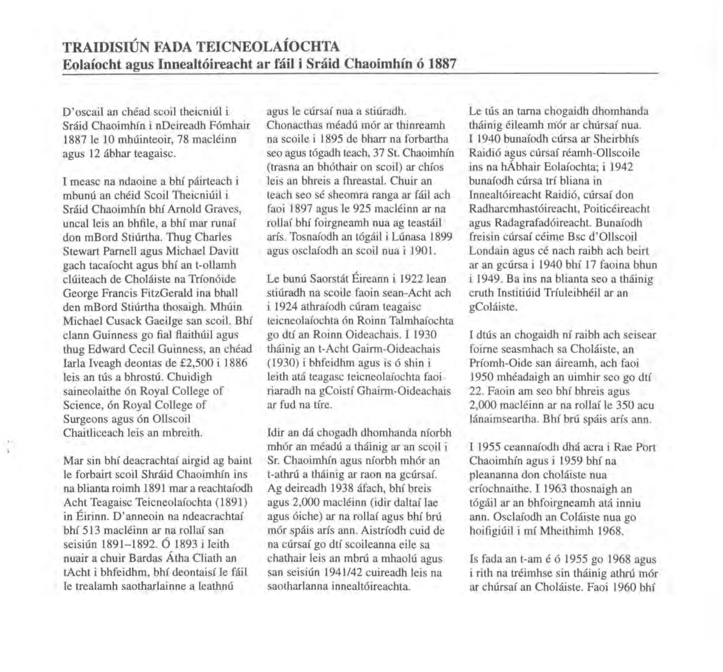D'oscail an chéad scoil theicniúl i Sráid Chaoimhín i nDeireadh Fómhair 1887 le 10 mhúinteoir, 78 macléinn agus 12 abhar teagaisc.

I measc na ndaoine a bhi pairteach i mbunú an chéid Scoil Theicniúil i Sráid Chaoimhín bhí Arnold Graves, uncal leis an bhfile, a bhf mar runaf don mBord Stiurtha. Thug Charles Stewart Parnell agus Michael Davitt gach tacafocht agus bhf an t-ollamh cluiteach de Cholaiste na Trfon6ide George Francis FitzGerald ina bhall den mBord Stiúrtha thosaigh. Mhúin Michael Cusack Gaeilge san scoil. Bhf clann Guinness go fial flaithuil agus thug Edward Cecil Guinness, an chéad Iarla Iveagh deontas de £2,500 i 1886 leis an tús a bhrostú. Chuidigh saineolaithe 6n Royal College of Science, 6n Royal College of Surgeons agus 6n Ollscoil Chaitliceach leis an mbreith.

Mar sin bhi deacrachtaf airgid ag baint le forbairt scoil Shraid Chaoimhfn ins na blianta roirnh 1891 mar a reachtafodh Acht Teagaisc Teicneolafochta (1891) in Eirinn. D' anneoin na ndeacrachtaf bhi 513 macleinn ar na rollaf san seisiún 1891-1892. Ó 1893 i Ieith nuair a chuir Bardas Atha Cliath an tAcht i bhfeidhm, bhf deontaisf le fail le trealamh saotharlainne a leathnú

agus le cúrsaí nua a stiúradh. Chonacthas meadu m6r ar thinreamh na scoile i 1895 de bharr na forbartha seo agus tógadh teach, 37 St. Chaoimhín (trasna an bh6thair on scoil) ar chios leis an bhreis a fhreastal. Chuir an teach seo se sheornra ranga ar fail ach faoi 1897 agus le 925 macleinn ar na rollaf bhf foirgneamh nua ag teastail arfs. Tosnafodh an t6gail i Lunasa 1899 agus osclafodh an scoil nua i 1901.

Le bunú Saorstát Éireann i 1922 lean stiúradh na scoile faoin sean-Acht ach i 1924 athraíodh cúram teagaisc teicneolafochta 6n Roinn Talrnhafochta go dtf an Roinn Oideachais. I 1930 thainig an t-Acht Gairrn-Oideachais (1930) i bhfeidhm agus is 6 shin i Ieith ata teagasc teicneolafochta faoi riaradh na gCoistf Ghairrn-Oideachais ar fud na tfre.

Idir an da chogadh dhomhanda nforbh mhór an méadú a tháinig ar an scoil i Sr. Chaoimhfn agus nforbh mh6r an t-athrú a tháinig ar raon na gcúrsaí. Ag deireadh 1938 áfach, bhí breis agus 2,000 macleinn (idir daltaf lae agus 6iche) ar na rollaf agus bhf bru m6r spais arfs ann. Aistrfodh cuid de na cúrsaí go dtí scoileanna eile sa chathair leis an mbrú a mhaolú agus san seisiún 1941/42 cuireadh leis na saotharlanna innealtóireachta.

Le tús an tarna chogaidh dhomhanda tháinig éileamh mór ar chúrsaí nua. I 1940 bunafodh cursa ar Sheirbhis Raidi6 agus cursaf reamh-Ollscoile ins na hAbhair Eolafochta; i 1942 bunafodh cursa trf bliana in Innealt6ireacht Raidi6, cursaf don Radharcrnhast6ireacht, Poiticeireacht agus Radagrafad6ireacht. Bunafodh freisin cúrsaí céime Bsc d'Ollscoil Londain agus cé nach raibh ach beirt ar an gcúrsa i 1940 bhí 17 faoina bhun i 1949. Ba ins na blianta seo a thainig cruth Institiuid Trfuleibheil ar an gColaiste.

I dtus an chogaidh nf raibh ach seisear foirne seasmhach sa Cholaiste, an Prfomh-Oide san aireamh, ach faoi 1950 mhéadaigh an uimhir seo go dtí 22. Faoin am seo bhf bhreis agus 2,000 macleinn ar na rollaf le 350 acu lánaimseartha. Bhí brú spáis arís ann.

I 1955 ceannafodh dha acra i Rae Port Chaoimhfn agus i 1959 bhf na pleananna don cholaiste nua crfochnaithe. I 1963 thosnaigh an t6gail ar an bhfoirgneamh ata inniu ann. Osclafodh an Colaiste nua go hoifigiuil i *mi* Mheithimh 1968.

Is fada an t-am é ó 1955 go 1968 agus i rith na tréimhse sin tháinig athrú mór ar chursaf an Cholaiste. Faoi 1960 bhf